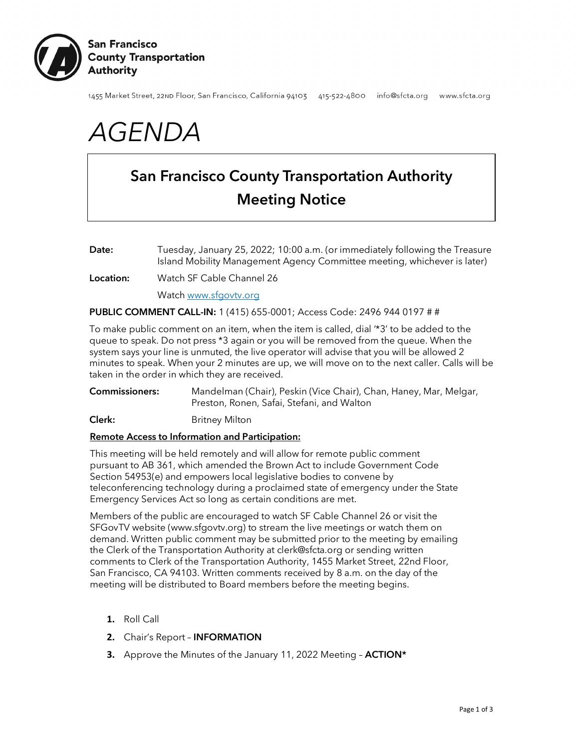

1455 Market Street, 22nD Floor, San Francisco, California 94103 415-522-4800 info@sfcta.org www.sfcta.org

# *AGENDA*

## San Francisco County Transportation Authority Meeting Notice

- Date: Tuesday, January 25, 2022; 10:00 a.m. (or immediately following the Treasure Island Mobility Management Agency Committee meeting, whichever is later)
- Location: Watch SF Cable Channel 26

Watch [www.sfgovtv.org](http://www.sfgovtv.org/)

### PUBLIC COMMENT CALL-IN: 1 (415) 655-0001; Access Code: 2496 944 0197 # #

To make public comment on an item, when the item is called, dial '\*3' to be added to the queue to speak. Do not press \*3 again or you will be removed from the queue. When the system says your line is unmuted, the live operator will advise that you will be allowed 2 minutes to speak. When your 2 minutes are up, we will move on to the next caller. Calls will be taken in the order in which they are received.

Commissioners: Mandelman (Chair), Peskin (Vice Chair), Chan, Haney, Mar, Melgar, Preston, Ronen, Safai, Stefani, and Walton

Clerk: Britney Milton

#### Remote Access to Information and Participation:

This meeting will be held remotely and will allow for remote public comment pursuant to AB 361, which amended the Brown Act to include Government Code Section 54953(e) and empowers local legislative bodies to convene by teleconferencing technology during a proclaimed state of emergency under the State Emergency Services Act so long as certain conditions are met.

Members of the public are encouraged to watch SF Cable Channel 26 or visit the SFGovTV website [\(www.sfgovtv.org\)](http://www.sfgovtv.org/) to stream the live meetings or watch them on demand. Written public comment may be submitted prior to the meeting by emailing the Clerk of the Transportation Authority at [clerk@sfcta.org](mailto:clerk@sfcta.org) or sending written comments to Clerk of the Transportation Authority, 1455 Market Street, 22nd Floor, San Francisco, CA 94103. Written comments received by 8 a.m. on the day of the meeting will be distributed to Board members before the meeting begins.

- **1.** Roll Call
- **2.** Chair's Report INFORMATION
- **3.** Approve the Minutes of the January 11, 2022 Meeting ACTION\*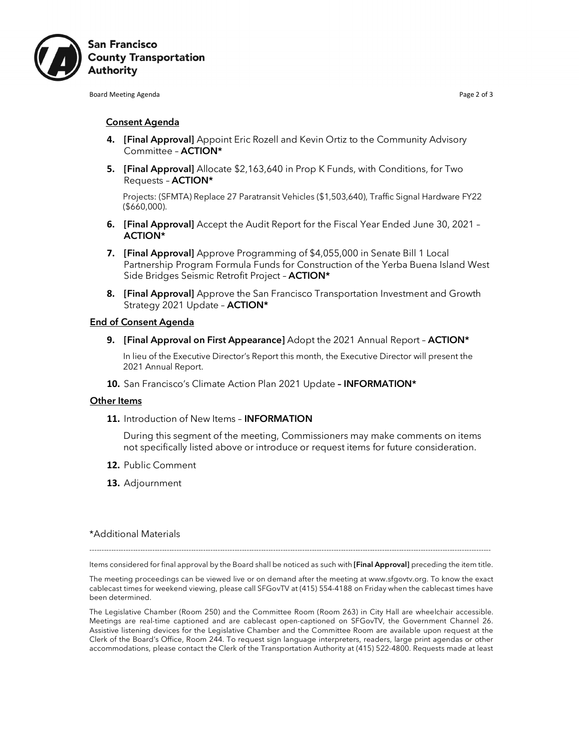

**Board Meeting Agenda** Page 2 of 3

#### Consent Agenda

- **4.** [Final Approval] Appoint Eric Rozell and Kevin Ortiz to the Community Advisory Committee – ACTION\*
- **5.** [Final Approval] Allocate \$2,163,640 in Prop K Funds, with Conditions, for Two Requests – ACTION\*

Projects: (SFMTA) Replace 27 Paratransit Vehicles (\$1,503,640), Traffic Signal Hardware FY22 (\$660,000).

- **6.** [Final Approval] Accept the Audit Report for the Fiscal Year Ended June 30, 2021 ACTION\*
- **7.** [Final Approval] Approve Programming of \$4,055,000 in Senate Bill 1 Local Partnership Program Formula Funds for Construction of the Yerba Buena Island West Side Bridges Seismic Retrofit Project – ACTION\*
- **8.** [Final Approval] Approve the San Francisco Transportation Investment and Growth Strategy 2021 Update - **ACTION\***

#### End of Consent Agenda

**9.** [Final Approval on First Appearance] Adopt the 2021 Annual Report – ACTION\*

In lieu of the Executive Director's Report this month, the Executive Director will present the 2021 Annual Report.

**10.** San Francisco's Climate Action Plan 2021 Update – INFORMATION\*

#### **Other Items**

**11.** Introduction of New Items – INFORMATION

During this segment of the meeting, Commissioners may make comments on items not specifically listed above or introduce or request items for future consideration.

- **12.** Public Comment
- **13.** Adjournment

#### \*Additional Materials

---------------------------------------------------------------------------------------------------------------------------------------------------------------------- Items considered for final approval by the Board shall be noticed as such with [Final Approval] preceding the item title.

The meeting proceedings can be viewed live or on demand after the meeting at www.sfgovtv.org. To know the exact cablecast times for weekend viewing, please call SFGovTV at (415) 554-4188 on Friday when the cablecast times have been determined.

The Legislative Chamber (Room 250) and the Committee Room (Room 263) in City Hall are wheelchair accessible. Meetings are real-time captioned and are cablecast open-captioned on SFGovTV, the Government Channel 26. Assistive listening devices for the Legislative Chamber and the Committee Room are available upon request at the Clerk of the Board's Office, Room 244. To request sign language interpreters, readers, large print agendas or other accommodations, please contact the Clerk of the Transportation Authority at (415) 522-4800. Requests made at least